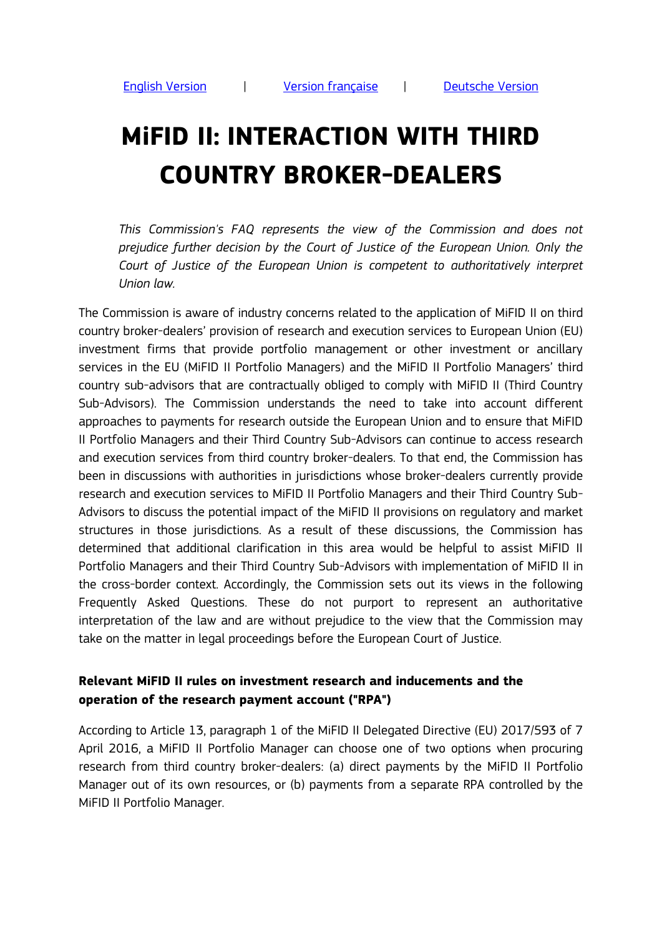# <span id="page-0-0"></span>**MiFID II: INTERACTION WITH THIRD COUNTRY BROKER-DEALERS**

*This Commission's FAQ represents the view of the Commission and does not prejudice further decision by the Court of Justice of the European Union. Only the Court of Justice of the European Union is competent to authoritatively interpret Union law.*

The Commission is aware of industry concerns related to the application of MiFID II on third country broker-dealers' provision of research and execution services to European Union (EU) investment firms that provide portfolio management or other investment or ancillary services in the EU (MiFID II Portfolio Managers) and the MiFID II Portfolio Managers' third country sub-advisors that are contractually obliged to comply with MiFID II (Third Country Sub-Advisors). The Commission understands the need to take into account different approaches to payments for research outside the European Union and to ensure that MiFID II Portfolio Managers and their Third Country Sub-Advisors can continue to access research and execution services from third country broker-dealers. To that end, the Commission has been in discussions with authorities in jurisdictions whose broker-dealers currently provide research and execution services to MiFID II Portfolio Managers and their Third Country Sub-Advisors to discuss the potential impact of the MiFID II provisions on regulatory and market structures in those jurisdictions. As a result of these discussions, the Commission has determined that additional clarification in this area would be helpful to assist MiFID II Portfolio Managers and their Third Country Sub-Advisors with implementation of MiFID II in the cross-border context. Accordingly, the Commission sets out its views in the following Frequently Asked Questions. These do not purport to represent an authoritative interpretation of the law and are without prejudice to the view that the Commission may take on the matter in legal proceedings before the European Court of Justice.

#### **Relevant MiFID II rules on investment research and inducements and the operation of the research payment account ("RPA")**

According to Article 13, paragraph 1 of the MiFID II Delegated Directive (EU) 2017/593 of 7 April 2016, a MiFID II Portfolio Manager can choose one of two options when procuring research from third country broker-dealers: (a) direct payments by the MiFID II Portfolio Manager out of its own resources, or (b) payments from a separate RPA controlled by the MiFID II Portfolio Manager.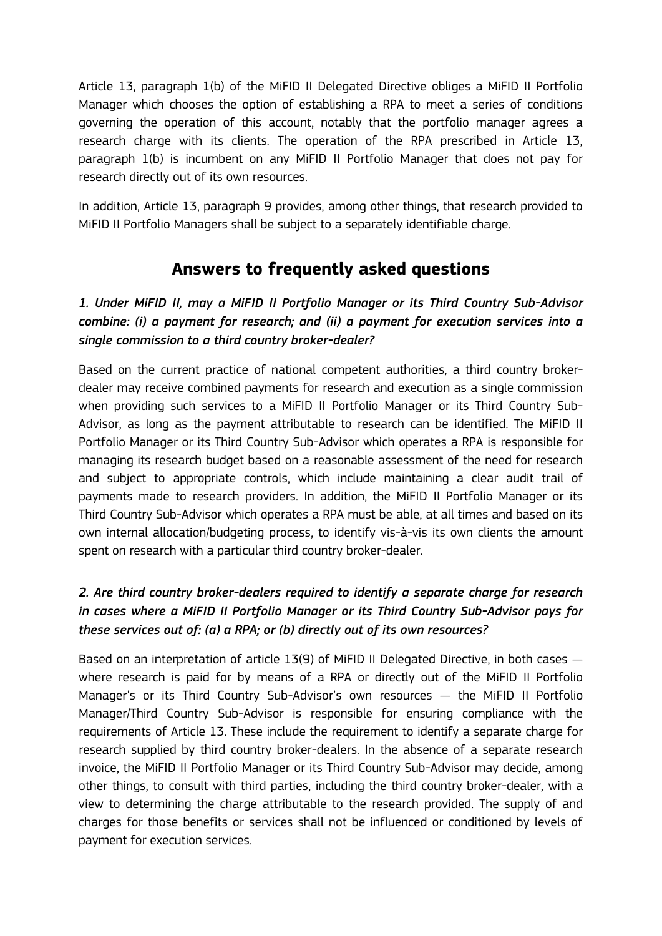Article 13, paragraph 1(b) of the MiFID II Delegated Directive obliges a MiFID II Portfolio Manager which chooses the option of establishing a RPA to meet a series of conditions governing the operation of this account, notably that the portfolio manager agrees a research charge with its clients. The operation of the RPA prescribed in Article 13, paragraph 1(b) is incumbent on any MiFID II Portfolio Manager that does not pay for research directly out of its own resources.

In addition, Article 13, paragraph 9 provides, among other things, that research provided to MiFID II Portfolio Managers shall be subject to a separately identifiable charge.

## **Answers to frequently asked questions**

*1. Under MiFID II, may a MiFID II Portfolio Manager or its Third Country Sub-Advisor combine: (i) a payment for research; and (ii) a payment for execution services into a single commission to a third country broker-dealer?*

Based on the current practice of national competent authorities, a third country brokerdealer may receive combined payments for research and execution as a single commission when providing such services to a MiFID II Portfolio Manager or its Third Country Sub-Advisor, as long as the payment attributable to research can be identified. The MiFID II Portfolio Manager or its Third Country Sub-Advisor which operates a RPA is responsible for managing its research budget based on a reasonable assessment of the need for research and subject to appropriate controls, which include maintaining a clear audit trail of payments made to research providers. In addition, the MiFID II Portfolio Manager or its Third Country Sub-Advisor which operates a RPA must be able, at all times and based on its own internal allocation/budgeting process, to identify vis-à-vis its own clients the amount spent on research with a particular third country broker-dealer.

### *2. Are third country broker-dealers required to identify a separate charge for research in cases where a MiFID II Portfolio Manager or its Third Country Sub-Advisor pays for these services out of: (a) a RPA; or (b) directly out of its own resources?*

Based on an interpretation of article 13(9) of MiFID II Delegated Directive, in both cases where research is paid for by means of a RPA or directly out of the MiFID II Portfolio Manager's or its Third Country Sub-Advisor's own resources — the MiFID II Portfolio Manager/Third Country Sub-Advisor is responsible for ensuring compliance with the requirements of Article 13. These include the requirement to identify a separate charge for research supplied by third country broker-dealers. In the absence of a separate research invoice, the MiFID II Portfolio Manager or its Third Country Sub-Advisor may decide, among other things, to consult with third parties, including the third country broker-dealer, with a view to determining the charge attributable to the research provided. The supply of and charges for those benefits or services shall not be influenced or conditioned by levels of payment for execution services.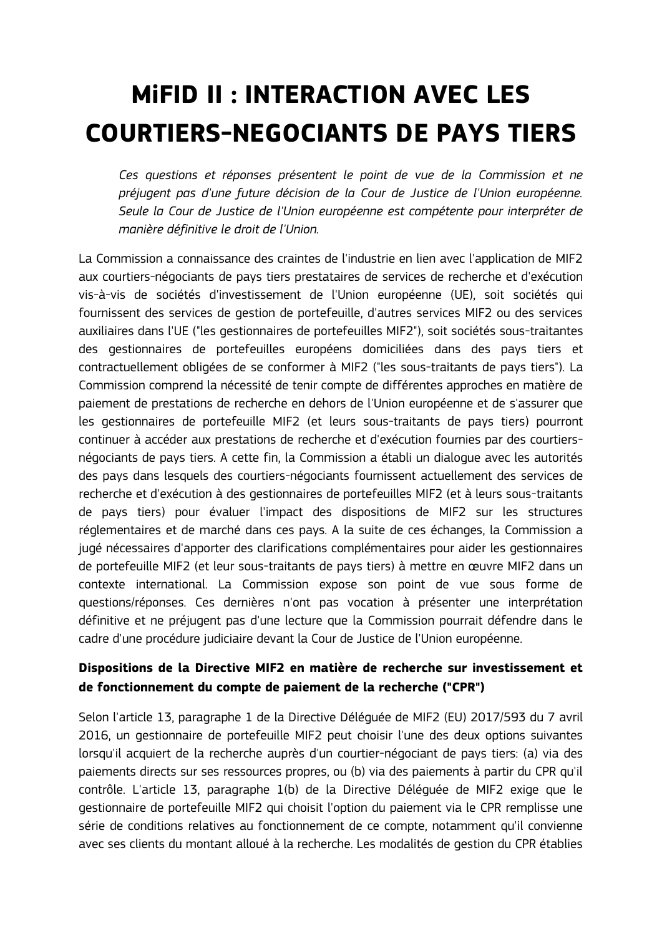# <span id="page-2-0"></span>**MiFID II : INTERACTION AVEC LES COURTIERS-NEGOCIANTS DE PAYS TIERS**

*Ces questions et réponses présentent le point de vue de la Commission et ne préjugent pas d'une future décision de la Cour de Justice de l'Union européenne. Seule la Cour de Justice de l'Union européenne est compétente pour interpréter de manière définitive le droit de l'Union.*

La Commission a connaissance des craintes de l'industrie en lien avec l'application de MIF2 aux courtiers-négociants de pays tiers prestataires de services de recherche et d'exécution vis-à-vis de sociétés d'investissement de l'Union européenne (UE), soit sociétés qui fournissent des services de gestion de portefeuille, d'autres services MIF2 ou des services auxiliaires dans l'UE ("les gestionnaires de portefeuilles MIF2"), soit sociétés sous-traitantes des gestionnaires de portefeuilles européens domiciliées dans des pays tiers et contractuellement obligées de se conformer à MIF2 ("les sous-traitants de pays tiers"). La Commission comprend la nécessité de tenir compte de différentes approches en matière de paiement de prestations de recherche en dehors de l'Union européenne et de s'assurer que les gestionnaires de portefeuille MIF2 (et leurs sous-traitants de pays tiers) pourront continuer à accéder aux prestations de recherche et d'exécution fournies par des courtiersnégociants de pays tiers. A cette fin, la Commission a établi un dialogue avec les autorités des pays dans lesquels des courtiers-négociants fournissent actuellement des services de recherche et d'exécution à des gestionnaires de portefeuilles MIF2 (et à leurs sous-traitants de pays tiers) pour évaluer l'impact des dispositions de MIF2 sur les structures réglementaires et de marché dans ces pays. A la suite de ces échanges, la Commission a jugé nécessaires d'apporter des clarifications complémentaires pour aider les gestionnaires de portefeuille MIF2 (et leur sous-traitants de pays tiers) à mettre en œuvre MIF2 dans un contexte international. La Commission expose son point de vue sous forme de questions/réponses. Ces dernières n'ont pas vocation à présenter une interprétation définitive et ne préjugent pas d'une lecture que la Commission pourrait défendre dans le cadre d'une procédure judiciaire devant la Cour de Justice de l'Union européenne.

#### **Dispositions de la Directive MIF2 en matière de recherche sur investissement et de fonctionnement du compte de paiement de la recherche ("CPR")**

Selon l'article 13, paragraphe 1 de la Directive Déléguée de MIF2 (EU) 2017/593 du 7 avril 2016, un gestionnaire de portefeuille MIF2 peut choisir l'une des deux options suivantes lorsqu'il acquiert de la recherche auprès d'un courtier-négociant de pays tiers: (a) via des paiements directs sur ses ressources propres, ou (b) via des paiements à partir du CPR qu'il contrôle. L'article 13, paragraphe 1(b) de la Directive Déléguée de MIF2 exige que le gestionnaire de portefeuille MIF2 qui choisit l'option du paiement via le CPR remplisse une série de conditions relatives au fonctionnement de ce compte, notamment qu'il convienne avec ses clients du montant alloué à la recherche. Les modalités de gestion du CPR établies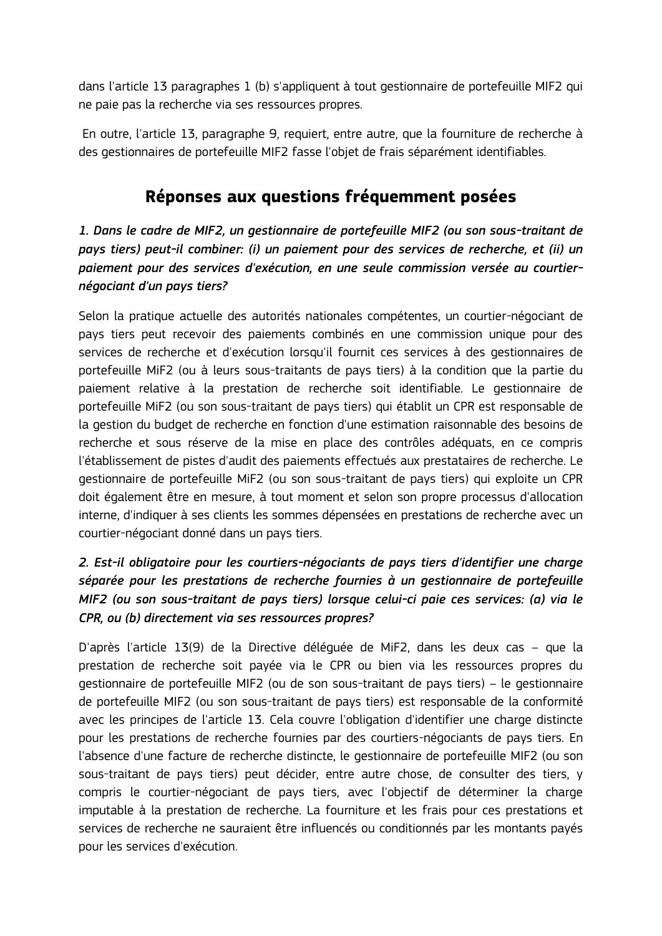dans l'article 13 paragraphes 1 (b) s'appliquent à tout gestionnaire de portefeuille MIF2 qui ne paie pas la recherche via ses ressources propres.

En outre, l'article 13, paragraphe 9, requiert, entre autre, que la fourniture de recherche à des gestionnaires de portefeuille MIF2 fasse l'objet de frais séparément identifiables.

## **Réponses aux questions fréquemment posées**

*1. Dans le cadre de MIF2, un gestionnaire de portefeuille MIF2 (ou son sous-traitant de pays tiers) peut-il combiner: (i) un paiement pour des services de recherche, et (ii) un paiement pour des services d'exécution, en une seule commission versée au courtiernégociant d'un pays tiers?* 

Selon la pratique actuelle des autorités nationales compétentes, un courtier-négociant de pays tiers peut recevoir des paiements combinés en une commission unique pour des services de recherche et d'exécution lorsqu'il fournit ces services à des gestionnaires de portefeuille MiF2 (ou à leurs sous-traitants de pays tiers) à la condition que la partie du paiement relative à la prestation de recherche soit identifiable. Le gestionnaire de portefeuille MiF2 (ou son sous-traitant de pays tiers) qui établit un CPR est responsable de la gestion du budget de recherche en fonction d'une estimation raisonnable des besoins de recherche et sous réserve de la mise en place des contrôles adéquats, en ce compris l'établissement de pistes d'audit des paiements effectués aux prestataires de recherche. Le gestionnaire de portefeuille MiF2 (ou son sous-traitant de pays tiers) qui exploite un CPR doit également être en mesure, à tout moment et selon son propre processus d'allocation interne, d'indiquer à ses clients les sommes dépensées en prestations de recherche avec un courtier-négociant donné dans un pays tiers.

### *2. Est-il obligatoire pour les courtiers-négociants de pays tiers d'identifier une charge séparée pour les prestations de recherche fournies à un gestionnaire de portefeuille MIF2 (ou son sous-traitant de pays tiers) lorsque celui-ci paie ces services: (a) via le CPR, ou (b) directement via ses ressources propres?*

D'après l'article 13(9) de la Directive déléguée de MiF2, dans les deux cas – que la prestation de recherche soit payée via le CPR ou bien via les ressources propres du gestionnaire de portefeuille MIF2 (ou de son sous-traitant de pays tiers) – le gestionnaire de portefeuille MIF2 (ou son sous-traitant de pays tiers) est responsable de la conformité avec les principes de l'article 13. Cela couvre l'obligation d'identifier une charge distincte pour les prestations de recherche fournies par des courtiers-négociants de pays tiers. En l'absence d'une facture de recherche distincte, le gestionnaire de portefeuille MIF2 (ou son sous-traitant de pays tiers) peut décider, entre autre chose, de consulter des tiers, y compris le courtier-négociant de pays tiers, avec l'objectif de déterminer la charge imputable à la prestation de recherche. La fourniture et les frais pour ces prestations et services de recherche ne sauraient être influencés ou conditionnés par les montants payés pour les services d'exécution.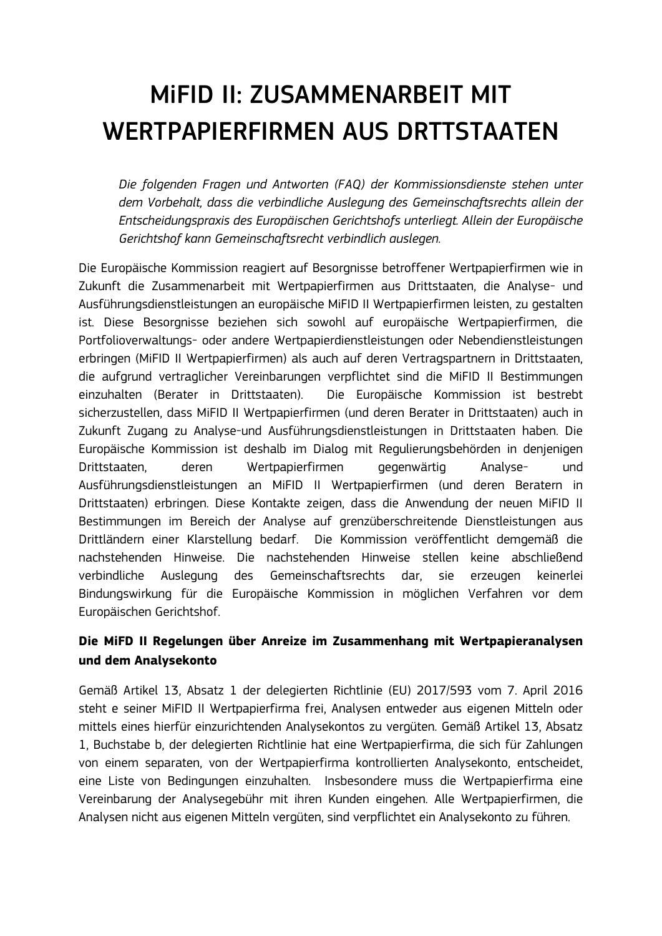# <span id="page-4-0"></span>MiFID II: ZUSAMMENARBEIT MIT WERTPAPIERFIRMEN AUS DRTTSTAATEN

*Die folgenden Fragen und Antworten (FAQ) der Kommissionsdienste stehen unter dem Vorbehalt, dass die verbindliche Auslegung des Gemeinschaftsrechts allein der Entscheidungspraxis des Europäischen Gerichtshofs unterliegt. Allein der Europäische Gerichtshof kann Gemeinschaftsrecht verbindlich auslegen.* 

Die Europäische Kommission reagiert auf Besorgnisse betroffener Wertpapierfirmen wie in Zukunft die Zusammenarbeit mit Wertpapierfirmen aus Drittstaaten, die Analyse- und Ausführungsdienstleistungen an europäische MiFID II Wertpapierfirmen leisten, zu gestalten ist. Diese Besorgnisse beziehen sich sowohl auf europäische Wertpapierfirmen, die Portfolioverwaltungs- oder andere Wertpapierdienstleistungen oder Nebendienstleistungen erbringen (MiFID II Wertpapierfirmen) als auch auf deren Vertragspartnern in Drittstaaten, die aufgrund vertraglicher Vereinbarungen verpflichtet sind die MiFID II Bestimmungen einzuhalten (Berater in Drittstaaten). Die Europäische Kommission ist bestrebt sicherzustellen, dass MiFID II Wertpapierfirmen (und deren Berater in Drittstaaten) auch in Zukunft Zugang zu Analyse-und Ausführungsdienstleistungen in Drittstaaten haben. Die Europäische Kommission ist deshalb im Dialog mit Regulierungsbehörden in denjenigen Drittstaaten, deren Wertpapierfirmen gegenwärtig Analyse- und Ausführungsdienstleistungen an MiFID II Wertpapierfirmen (und deren Beratern in Drittstaaten) erbringen. Diese Kontakte zeigen, dass die Anwendung der neuen MiFID II Bestimmungen im Bereich der Analyse auf grenzüberschreitende Dienstleistungen aus Drittländern einer Klarstellung bedarf. Die Kommission veröffentlicht demgemäß die nachstehenden Hinweise. Die nachstehenden Hinweise stellen keine abschließend verbindliche Auslegung des Gemeinschaftsrechts dar, sie erzeugen keinerlei Bindungswirkung für die Europäische Kommission in möglichen Verfahren vor dem Europäischen Gerichtshof.

#### **Die MiFD II Regelungen über Anreize im Zusammenhang mit Wertpapieranalysen und dem Analysekonto**

Gemäß Artikel 13, Absatz 1 der delegierten Richtlinie (EU) 2017/593 vom 7. April 2016 steht e seiner MiFID II Wertpapierfirma frei, Analysen entweder aus eigenen Mitteln oder mittels eines hierfür einzurichtenden Analysekontos zu vergüten. Gemäß Artikel 13, Absatz 1, Buchstabe b, der delegierten Richtlinie hat eine Wertpapierfirma, die sich für Zahlungen von einem separaten, von der Wertpapierfirma kontrollierten Analysekonto, entscheidet, eine Liste von Bedingungen einzuhalten. Insbesondere muss die Wertpapierfirma eine Vereinbarung der Analysegebühr mit ihren Kunden eingehen. Alle Wertpapierfirmen, die Analysen nicht aus eigenen Mitteln vergüten, sind verpflichtet ein Analysekonto zu führen.